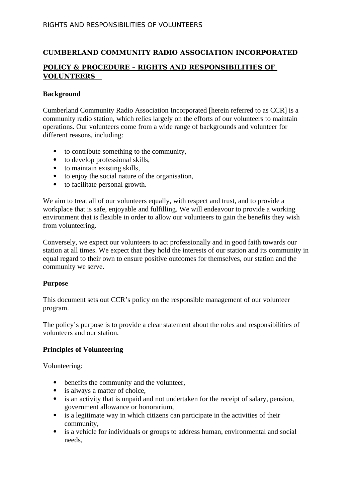### **CUMBERLAND COMMUNITY RADIO ASSOCIATION INCORPORATED**

## **POLICY & PROCEDURE – RIGHTS AND RESPONSIBILITIES OF VOLUNTEERS**

#### **Background**

Cumberland Community Radio Association Incorporated [herein referred to as CCR] is a community radio station, which relies largely on the efforts of our volunteers to maintain operations. Our volunteers come from a wide range of backgrounds and volunteer for different reasons, including:

- to contribute something to the community,
- to develop professional skills,
- to maintain existing skills,
- to enjoy the social nature of the organisation,
- to facilitate personal growth.

We aim to treat all of our volunteers equally, with respect and trust, and to provide a workplace that is safe, enjoyable and fulfilling. We will endeavour to provide a working environment that is flexible in order to allow our volunteers to gain the benefits they wish from volunteering.

Conversely, we expect our volunteers to act professionally and in good faith towards our station at all times. We expect that they hold the interests of our station and its community in equal regard to their own to ensure positive outcomes for themselves, our station and the community we serve.

### **Purpose**

This document sets out CCR's policy on the responsible management of our volunteer program.

The policy's purpose is to provide a clear statement about the roles and responsibilities of volunteers and our station.

#### **Principles of Volunteering**

Volunteering:

- benefits the community and the volunteer,
- is always a matter of choice,
- is an activity that is unpaid and not undertaken for the receipt of salary, pension, government allowance or honorarium,
- is a legitimate way in which citizens can participate in the activities of their community,
- is a vehicle for individuals or groups to address human, environmental and social needs,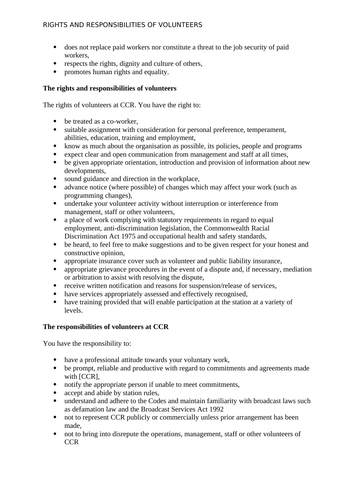- does not replace paid workers nor constitute a threat to the job security of paid workers,
- respects the rights, dignity and culture of others,
- promotes human rights and equality.

# **The rights and responsibilities of volunteers**

The rights of volunteers at CCR. You have the right to:

- be treated as a co-worker,
- suitable assignment with consideration for personal preference, temperament, abilities, education, training and employment,
- know as much about the organisation as possible, its policies, people and programs
- expect clear and open communication from management and staff at all times,
- be given appropriate orientation, introduction and provision of information about new developments,
- sound guidance and direction in the workplace,
- advance notice (where possible) of changes which may affect your work (such as programming changes),
- undertake your volunteer activity without interruption or interference from management, staff or other volunteers,
- a place of work complying with statutory requirements in regard to equal employment, anti-discrimination legislation, the Commonwealth Racial Discrimination Act 1975 and occupational health and safety standards,
- be heard, to feel free to make suggestions and to be given respect for your honest and constructive opinion,
- appropriate insurance cover such as volunteer and public liability insurance,
- appropriate grievance procedures in the event of a dispute and, if necessary, mediation or arbitration to assist with resolving the dispute,
- receive written notification and reasons for suspension/release of services,
- have services appropriately assessed and effectively recognised,
- have training provided that will enable participation at the station at a variety of levels.

# **The responsibilities of volunteers at CCR**

You have the responsibility to:

- have a professional attitude towards your voluntary work,
- be prompt, reliable and productive with regard to commitments and agreements made with [CCR],
- notify the appropriate person if unable to meet commitments,
- accept and abide by station rules,
- understand and adhere to the Codes and maintain familiarity with broadcast laws such as defamation law and the Broadcast Services Act 1992
- not to represent CCR publicly or commercially unless prior arrangement has been made,
- not to bring into disrepute the operations, management, staff or other volunteers of CCR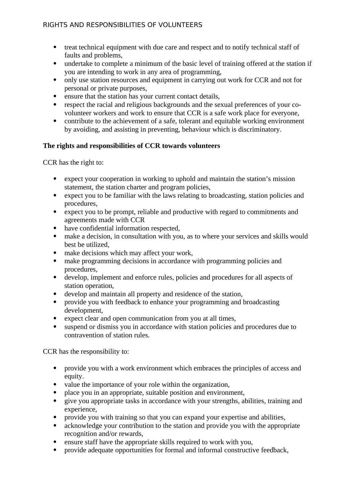## RIGHTS AND RESPONSIBILITIES OF VOLUNTEERS

- treat technical equipment with due care and respect and to notify technical staff of faults and problems,
- undertake to complete a minimum of the basic level of training offered at the station if you are intending to work in any area of programming,
- only use station resources and equipment in carrying out work for CCR and not for personal or private purposes,
- ensure that the station has your current contact details,
- respect the racial and religious backgrounds and the sexual preferences of your covolunteer workers and work to ensure that CCR is a safe work place for everyone,
- contribute to the achievement of a safe, tolerant and equitable working environment by avoiding, and assisting in preventing, behaviour which is discriminatory.

### **The rights and responsibilities of CCR towards volunteers**

CCR has the right to:

- expect your cooperation in working to uphold and maintain the station's mission statement, the station charter and program policies,
- expect you to be familiar with the laws relating to broadcasting, station policies and procedures,
- expect you to be prompt, reliable and productive with regard to commitments and agreements made with CCR
- have confidential information respected,
- make a decision, in consultation with you, as to where your services and skills would best be utilized,
- make decisions which may affect your work,
- make programming decisions in accordance with programming policies and procedures,
- develop, implement and enforce rules, policies and procedures for all aspects of station operation,
- develop and maintain all property and residence of the station,
- provide you with feedback to enhance your programming and broadcasting development,
- expect clear and open communication from you at all times,
- suspend or dismiss you in accordance with station policies and procedures due to contravention of station rules.

CCR has the responsibility to:

- provide you with a work environment which embraces the principles of access and equity.
- value the importance of your role within the organization,
- place you in an appropriate, suitable position and environment,
- give you appropriate tasks in accordance with your strengths, abilities, training and experience,
- provide you with training so that you can expand your expertise and abilities,
- acknowledge your contribution to the station and provide you with the appropriate recognition and/or rewards,
- ensure staff have the appropriate skills required to work with you,
- provide adequate opportunities for formal and informal constructive feedback,